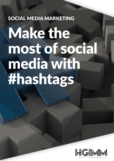# SOCIAL MEDIA MARKETING

# Make the most of social media with #hashtags

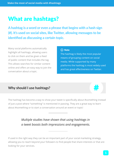# What are hashtags?

**A hashtag is a word or even a phrase that begins with a hash sign (#). It's used on social sites, like Twitter, allowing messages to be identified as discussing a certain topic.**

Many social platforms automatically **Acts CO Note** highlight all hashtags, allowing users to click on them and be given a feed of public content that includes the tag. This allows searches for similar content online and offers an easy way to join the conversation about a topic.

The hashtag is likely the most popular means of grouping content on social media. While supported by many platforms the hashtag is most widely used and has great effectiveness on Twitter.

## **Why should I use hashtags?**

The hashtag has become a way to show your tweet is specifically about #something instead of just a post where "something" is mentioned in passing. They are a great way to learn about #something or to start a conversation around an event or topic!

> *Multiple studies have shown that using hashtags in a tweet boosts both impressions and engagements.*

If used in the right way they can be an important part of your social marketing strategy, allowing you to reach beyond your followers to find people that share interests or that are looking for your services.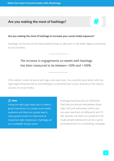### Are you making the most of hashtags?

#### **Are you making the most of hashtags to increase your social media exposure?**

Hashtags can be one of the most powerful ways to take part in the wider digital community on social media.

# *The increase in engagements on tweets with hashtags has been measured to be between +50% and +100%.*

(This statistic covers all posts with tags, even bad ones. You could do even better with the right tags!) Knowing how to use hashtags is a powerful tool in your arsenal on the road to success on social media.

#### (i) Note

Using the right tags helps you to make a great impression on a wide social media audience and they are a great way to share good content to make that all important right impression. Hashtags act as a multiplier of your work.

Hashtags have become so influential that they are almost everywhere these days. Not just exclusively online, you can even see them on billboards and TV ads. Brands use them as a powerful tool to get people talking and can be a great accompaniment to a marketing campaign.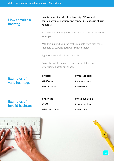**Make the most of social media with #hashtags**

# **How to write a hashtag**

**Hashtags must start with a hash sign (#), cannot contain any punctuation, and cannot be made up of just numbers.**

Hashtags on Twitter ignore capitals so #TOPIC is the same as #topic.

With this in mind, you can make multiple word tags more readable by starting each word with a capital.

E.g. #welovesocial = #WeLoveSocial

Doing this will help to avoid misinterpretation and unfortunate hashtag mishaps.

# **Examples of valid hashtags**

**#Twitter #GetSocial #SocialMedia** **#WeLoveSocial**

**#summertime**

**#firstTweet**

# **Examples of invalid hashtags**

**# hash tag #1997 #children'sbook** **# We Love Social # summer time #first Tweet**



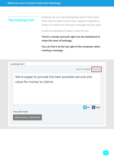## **The hashtag tool**

Anybody can use any hashtag they want in their posts, that's why it's vital to ensure you research a tag before using it to make sure it fits your message and your goal.

Luckily the dashboard makes it easy for you.

**There's a handy tool built right into the dashboard to make the most of hashtags.** 

**You can find it at the top right of the composer when creating a message.**

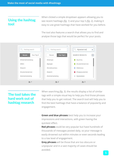# **Using the hashtag tool**

When clicked a simple dropdown appears allowing you to see recent hashtags *(fig. 1)* and your top 5 *(fig. 2),* making it easy to use great hashtags that have worked for you before.

The tool also features a search that allows you to find and analyse those tags that would be perfect for your posts.



# **The tool takes the hard work out of hashtag research**

When searching *(fig. 3)*, the results display a list of similar tags with a simple visual key to help you find those phrases that help you to get noticed. The search tool will help you to find the best hashtags that have a balance of popularity and engagement.

**Green and blue phrases** best help you to increase your impressions and interactions, with green having the quickest effect.

**Red phrases** could be very popular but have hundreds of thousands of messages posted daily, so your message is easily drowned out within minutes or even seconds leading to a low level of engagement.

**Grey phrases** will be those that are too obscure or unpopular and in a vast majority of cases should be avoided.